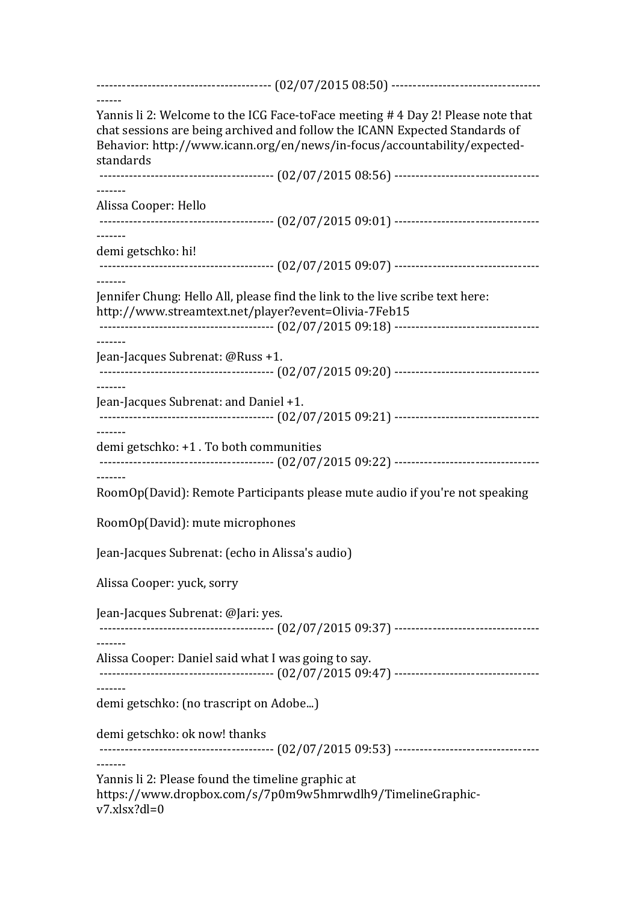----------------------------------------- (02/07/2015 08:50) ----------------------------------- ------ Yannis li 2: Welcome to the ICG Face-toFace meeting # 4 Day 2! Please note that chat sessions are being archived and follow the ICANN Expected Standards of Behavior: http://www.icann.org/en/news/in-focus/accountability/expectedstandards ----------------------------------------- (02/07/2015 08:56) ---------------------------------- ------- Alissa Cooper: Hello ----------------------------------------- (02/07/2015 09:01) ---------------------------------- ------ demi getschko: hi! ----------------------------------------- (02/07/2015 09:07) ---------------------------------- ------- Jennifer Chung: Hello All, please find the link to the live scribe text here: http://www.streamtext.net/player?event=Olivia-7Feb15 ----------------------------------------- (02/07/2015 09:18) ---------------------------------- ------- Jean-Jacques Subrenat: @Russ +1. ----------------------------------------- (02/07/2015 09:20) ---------------------------------- ------- Jean-Jacques Subrenat: and Daniel +1. ----------------------------------------- (02/07/2015 09:21) ---------------------------------- ------ demi getschko: +1. To both communities ----------------------------------------- (02/07/2015 09:22) ---------------------------------- ------- RoomOp(David): Remote Participants please mute audio if you're not speaking RoomOp(David): mute microphones Jean-Jacques Subrenat: (echo in Alissa's audio) Alissa Cooper: yuck, sorry Jean-Jacques Subrenat: @Jari: yes. ----------------------------------------- (02/07/2015 09:37) ---------------------------------- ------- Alissa Cooper: Daniel said what I was going to say. ----------------------------------------- (02/07/2015 09:47) ---------------------------------- ------ demi getschko: (no trascript on Adobe...) demi getschko: ok now! thanks ----------------------------------------- (02/07/2015 09:53) ---------------------------------- ------- Yannis li 2: Please found the timeline graphic at https://www.dropbox.com/s/7p0m9w5hmrwdlh9/TimelineGraphic $v7_x$  $\text{lsx?}$ dl=0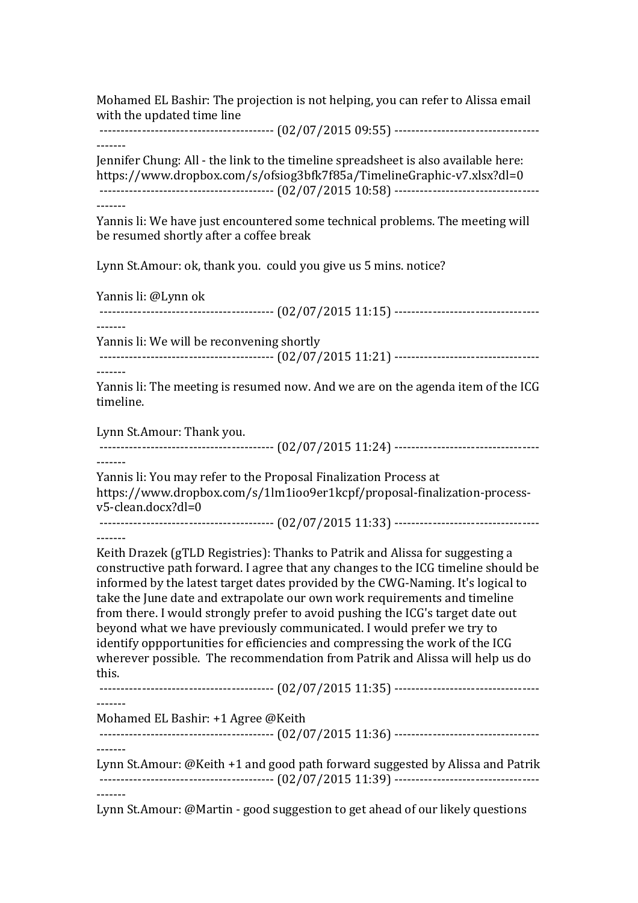Mohamed EL Bashir: The projection is not helping, you can refer to Alissa email with the updated time line

----------------------------------------- (02/07/2015 09:55) ----------------------------------

------- Jennifer Chung: All - the link to the timeline spreadsheet is also available here: https://www.dropbox.com/s/ofsiog3bfk7f85a/TimelineGraphic-v7.xlsx?dl=0 ----------------------------------------- (02/07/2015 10:58) ---------------------------------- -------

Yannis li: We have just encountered some technical problems. The meeting will be resumed shortly after a coffee break

Lynn St.Amour: ok, thank you. could you give us 5 mins. notice?

Yannis li: @Lynn ok ----------------------------------------- (02/07/2015 11:15) ---------------------------------- ------- Yannis li: We will be reconvening shortly ----------------------------------------- (02/07/2015 11:21) ---------------------------------- ------- Yannis li: The meeting is resumed now. And we are on the agenda item of the ICG timeline. Lynn St.Amour: Thank you. ----------------------------------------- (02/07/2015 11:24) ---------------------------------- ------- Yannis li: You may refer to the Proposal Finalization Process at https://www.dropbox.com/s/1lm1ioo9er1kcpf/proposal-finalization-processv5-clean.docx?dl=0 ----------------------------------------- (02/07/2015 11:33) ---------------------------------- ------- Keith Drazek (gTLD Registries): Thanks to Patrik and Alissa for suggesting a constructive path forward. I agree that any changes to the ICG timeline should be informed by the latest target dates provided by the CWG-Naming. It's logical to take the June date and extrapolate our own work requirements and timeline from there. I would strongly prefer to avoid pushing the ICG's target date out beyond what we have previously communicated. I would prefer we try to identify oppportunities for efficiencies and compressing the work of the ICG wherever possible. The recommendation from Patrik and Alissa will help us do this. ----------------------------------------- (02/07/2015 11:35) ---------------------------------- ------- Mohamed EL Bashir: +1 Agree @Keith ----------------------------------------- (02/07/2015 11:36) ---------------------------------- ------- Lynn St.Amour: @Keith  $+1$  and good path forward suggested by Alissa and Patrik ----------------------------------------- (02/07/2015 11:39) ---------------------------------- -------

Lynn St.Amour:  $\omega$ Martin - good suggestion to get ahead of our likely questions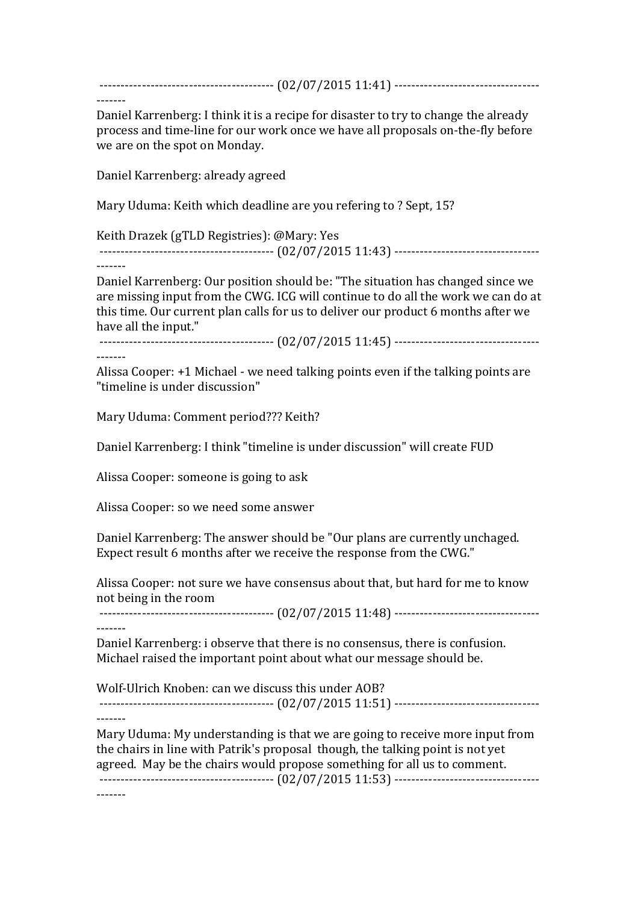----------------------------------------- (02/07/2015 11:41) ----------------------------------

-------

Daniel Karrenberg: I think it is a recipe for disaster to try to change the already process and time-line for our work once we have all proposals on-the-fly before we are on the spot on Monday.

Daniel Karrenberg: already agreed

Mary Uduma: Keith which deadline are you refering to ? Sept, 15?

Keith Drazek (gTLD Registries): @Mary: Yes

----------------------------------------- (02/07/2015 11:43) ---------------------------------- -------

Daniel Karrenberg: Our position should be: "The situation has changed since we are missing input from the CWG. ICG will continue to do all the work we can do at this time. Our current plan calls for us to deliver our product 6 months after we have all the input."

----------------------------------------- (02/07/2015 11:45) ---------------------------------- -------

Alissa Cooper: +1 Michael - we need talking points even if the talking points are "timeline is under discussion"

Mary Uduma: Comment period??? Keith?

Daniel Karrenberg: I think "timeline is under discussion" will create FUD

Alissa Cooper: someone is going to ask

Alissa Cooper: so we need some answer

Daniel Karrenberg: The answer should be "Our plans are currently unchaged. Expect result 6 months after we receive the response from the CWG."

Alissa Cooper: not sure we have consensus about that, but hard for me to know not being in the room

----------------------------------------- (02/07/2015 11:48) ----------------------------------

-------

Daniel Karrenberg: i observe that there is no consensus, there is confusion. Michael raised the important point about what our message should be.

Wolf-Ulrich Knoben: can we discuss this under AOB? ----------------------------------------- (02/07/2015 11:51) ---------------------------------- -------

Mary Uduma: My understanding is that we are going to receive more input from the chairs in line with Patrik's proposal though, the talking point is not yet agreed. May be the chairs would propose something for all us to comment. ----------------------------------------- (02/07/2015 11:53) ---------------------------------- -------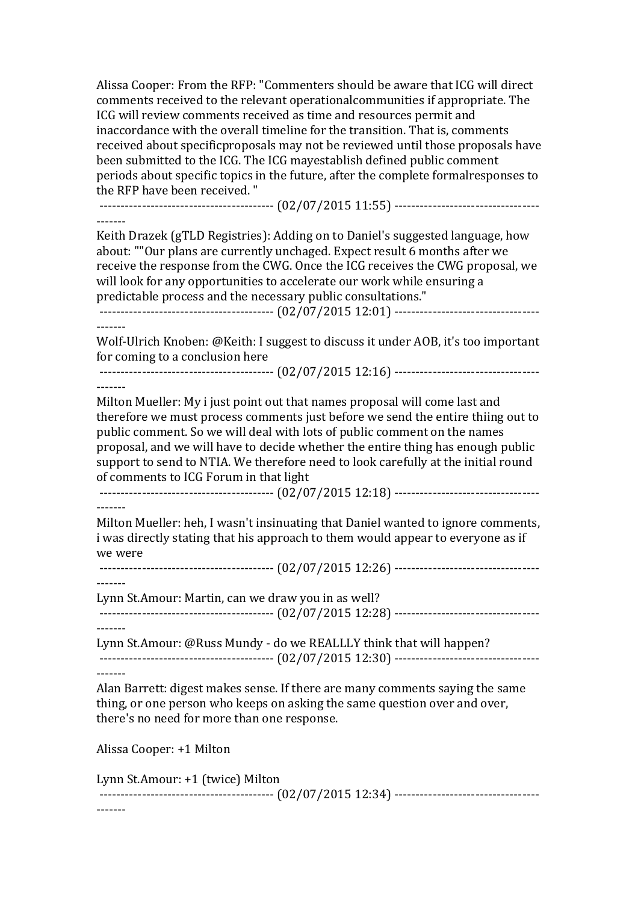Alissa Cooper: From the RFP: "Commenters should be aware that ICG will direct comments received to the relevant operationalcommunities if appropriate. The ICG will review comments received as time and resources permit and inaccordance with the overall timeline for the transition. That is, comments received about specificproposals may not be reviewed until those proposals have been submitted to the ICG. The ICG may establish defined public comment periods about specific topics in the future, after the complete formalresponses to the RFP have been received. " ----------------------------------------- (02/07/2015 11:55) ---------------------------------- -------

Keith Drazek (gTLD Registries): Adding on to Daniel's suggested language, how about: ""Our plans are currently unchaged. Expect result 6 months after we receive the response from the CWG. Once the ICG receives the CWG proposal, we will look for any opportunities to accelerate our work while ensuring a predictable process and the necessary public consultations."

----------------------------------------- (02/07/2015 12:01) ----------------------------------

-------

Wolf-Ulrich Knoben: @Keith: I suggest to discuss it under AOB, it's too important for coming to a conclusion here

----------------------------------------- (02/07/2015 12:16) ---------------------------------- -------

Milton Mueller: My i just point out that names proposal will come last and therefore we must process comments just before we send the entire thiing out to public comment. So we will deal with lots of public comment on the names proposal, and we will have to decide whether the entire thing has enough public support to send to NTIA. We therefore need to look carefully at the initial round of comments to ICG Forum in that light

----------------------------------------- (02/07/2015 12:18) ---------------------------------- -------

Milton Mueller: heh, I wasn't insinuating that Daniel wanted to ignore comments, i was directly stating that his approach to them would appear to everyone as if we were

----------------------------------------- (02/07/2015 12:26) ----------------------------------

-------

Lynn St.Amour: Martin, can we draw you in as well?

----------------------------------------- (02/07/2015 12:28) ---------------------------------- -------

Lynn St.Amour:  $@Russ$  Mundy - do we REALLLY think that will happen? ----------------------------------------- (02/07/2015 12:30) ----------------------------------

-------

Alan Barrett: digest makes sense. If there are many comments saying the same thing, or one person who keeps on asking the same question over and over, there's no need for more than one response.

Alissa Cooper: +1 Milton

Lynn St.Amour: +1 (twice) Milton ----------------------------------------- (02/07/2015 12:34) ---------------------------------- -------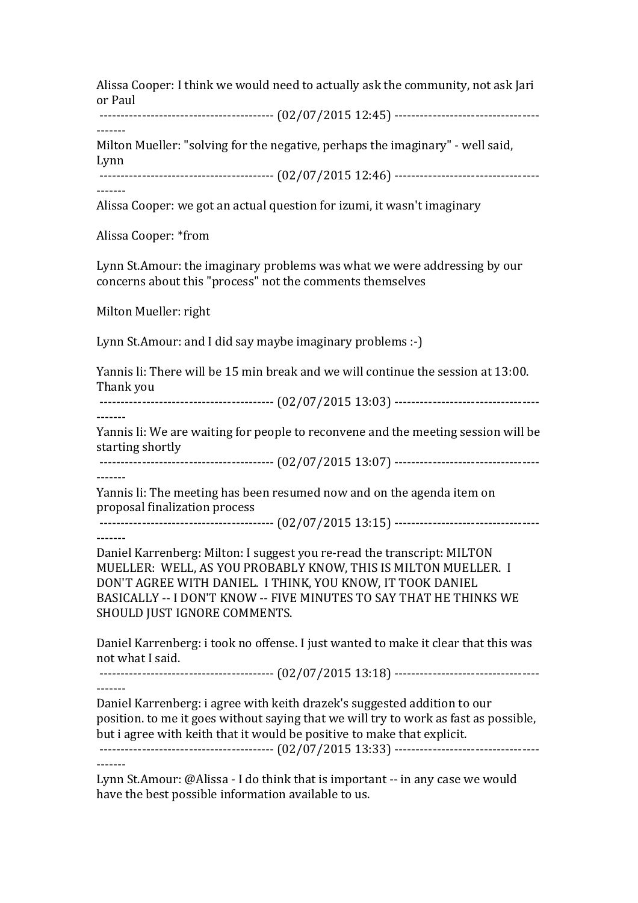Alissa Cooper: I think we would need to actually ask the community, not ask Jari or Paul ----------------------------------------- (02/07/2015 12:45) ----------------------------------

------- Milton Mueller: "solving for the negative, perhaps the imaginary" - well said, Lynn

----------------------------------------- (02/07/2015 12:46) ---------------------------------- -------

Alissa Cooper: we got an actual question for izumi, it wasn't imaginary

Alissa Cooper: \*from

Lynn St.Amour: the imaginary problems was what we were addressing by our concerns about this "process" not the comments themselves

Milton Mueller: right

Lynn St.Amour: and I did say maybe imaginary problems :-)

Yannis li: There will be 15 min break and we will continue the session at 13:00. Thank you ----------------------------------------- (02/07/2015 13:03) ----------------------------------

-------

Yannis li: We are waiting for people to reconvene and the meeting session will be starting shortly

----------------------------------------- (02/07/2015 13:07) ----------------------------------

-------

Yannis li: The meeting has been resumed now and on the agenda item on proposal finalization process

----------------------------------------- (02/07/2015 13:15) ---------------------------------- -------

Daniel Karrenberg: Milton: I suggest you re-read the transcript: MILTON MUELLER: WELL, AS YOU PROBABLY KNOW, THIS IS MILTON MUELLER. I DON'T AGREE WITH DANIEL. I THINK, YOU KNOW, IT TOOK DANIEL BASICALLY -- I DON'T KNOW -- FIVE MINUTES TO SAY THAT HE THINKS WE SHOULD JUST IGNORE COMMENTS.

Daniel Karrenberg: i took no offense. I just wanted to make it clear that this was not what I said.

----------------------------------------- (02/07/2015 13:18) ---------------------------------- -------

Daniel Karrenberg: i agree with keith drazek's suggested addition to our position, to me it goes without saying that we will try to work as fast as possible, but i agree with keith that it would be positive to make that explicit. ----------------------------------------- (02/07/2015 13:33) ----------------------------------

-------

Lynn St.Amour: @Alissa - I do think that is important -- in any case we would have the best possible information available to us.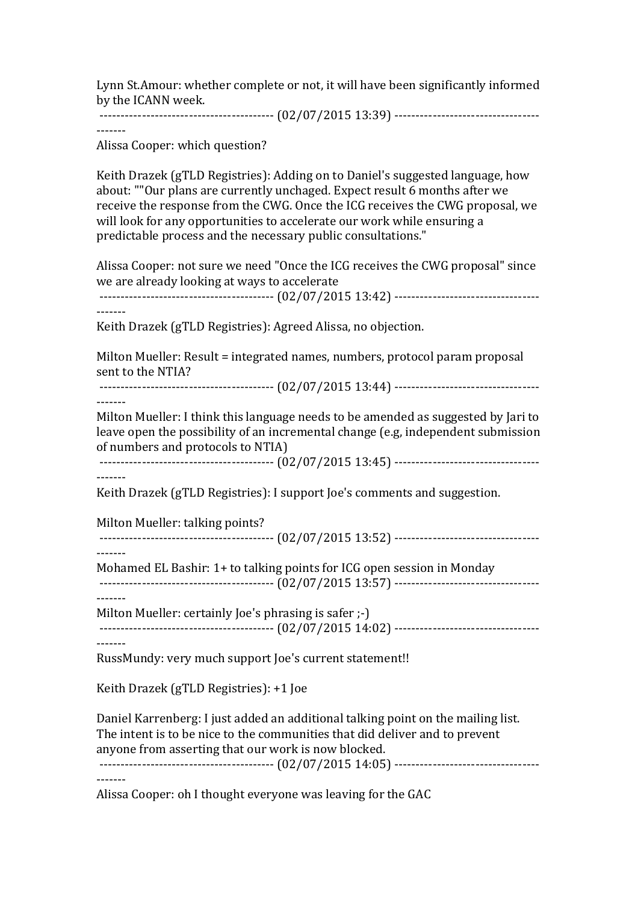Lynn St.Amour: whether complete or not, it will have been significantly informed by the ICANN week.

----------------------------------------- (02/07/2015 13:39) ----------------------------------

Alissa Cooper: which question?

-------

Keith Drazek (gTLD Registries): Adding on to Daniel's suggested language, how about: ""Our plans are currently unchaged. Expect result 6 months after we receive the response from the CWG. Once the ICG receives the CWG proposal, we will look for any opportunities to accelerate our work while ensuring a predictable process and the necessary public consultations."

Alissa Cooper: not sure we need "Once the ICG receives the CWG proposal" since we are already looking at ways to accelerate

| Keith Drazek (gTLD Registries): Agreed Alissa, no objection.                                     |
|--------------------------------------------------------------------------------------------------|
| Milton Mueller: Result = integrated names, numbers, protocol param proposal<br>sent to the NTIA? |
|                                                                                                  |
|                                                                                                  |
| Milton Mueller: I think this language needs to be amended as suggested by Lari to                |

Milton Mueller: I think this language needs to be amended as suggested by Jari to leave open the possibility of an incremental change (e.g, independent submission of numbers and protocols to NTIA)

----------------------------------------- (02/07/2015 13:45) ---------------------------------- -------

Keith Drazek (gTLD Registries): I support Joe's comments and suggestion.

Milton Mueller: talking points?

----------------------------------------- (02/07/2015 13:52) ----------------------------------

------- Mohamed EL Bashir:  $1+$  to talking points for ICG open session in Monday ----------------------------------------- (02/07/2015 13:57) ----------------------------------

------- Milton Mueller: certainly  $\lceil \log \cdot \cdot \log \cdot \cdot \rceil$ ----------------------------------------- (02/07/2015 14:02) ----------------------------------

-------

-------

RussMundy: very much support Joe's current statement!!

Keith Drazek  $(gTLD$  Registries):  $+1$  Joe

Daniel Karrenberg: I just added an additional talking point on the mailing list. The intent is to be nice to the communities that did deliver and to prevent anyone from asserting that our work is now blocked. ----------------------------------------- (02/07/2015 14:05) ----------------------------------

Alissa Cooper: oh I thought everyone was leaving for the GAC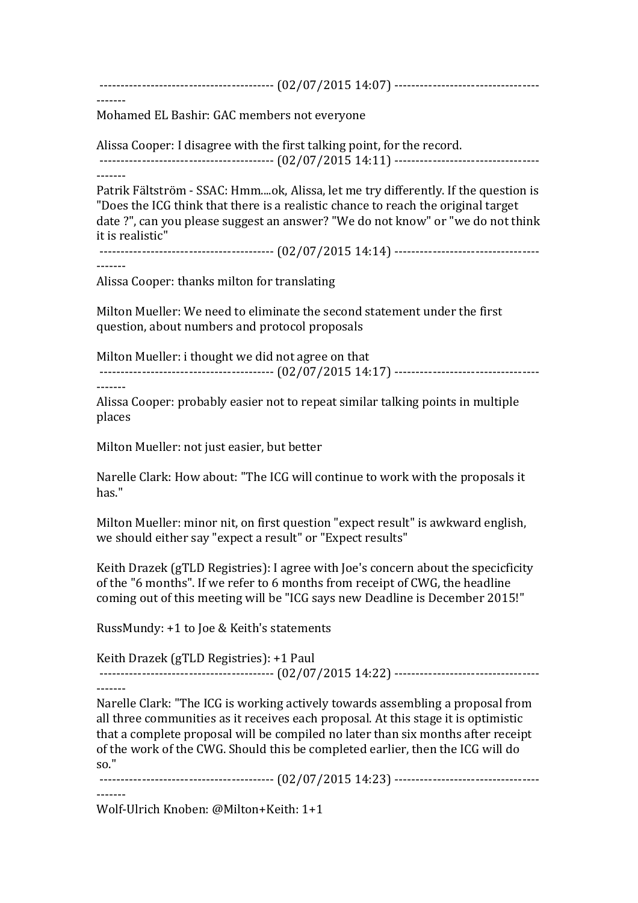----------------------------------------- (02/07/2015 14:07) ----------------------------------

------- Mohamed EL Bashir: GAC members not everyone

Alissa Cooper: I disagree with the first talking point, for the record. ----------------------------------------- (02/07/2015 14:11) ----------------------------------

-------

Patrik Fältström - SSAC: Hmm....ok, Alissa, let me try differently. If the question is "Does the ICG think that there is a realistic chance to reach the original target date ?", can you please suggest an answer? "We do not know" or "we do not think it is realistic"

----------------------------------------- (02/07/2015 14:14) ----------------------------------

-------

Alissa Cooper: thanks milton for translating

Milton Mueller: We need to eliminate the second statement under the first question, about numbers and protocol proposals

Milton Mueller: i thought we did not agree on that ----------------------------------------- (02/07/2015 14:17) ---------------------------------- -------

Alissa Cooper: probably easier not to repeat similar talking points in multiple places

Milton Mueller: not just easier, but better

Narelle Clark: How about: "The ICG will continue to work with the proposals it has."

Milton Mueller: minor nit, on first question "expect result" is awkward english, we should either say "expect a result" or "Expect results"

Keith Drazek (gTLD Registries): I agree with Joe's concern about the specicficity of the "6 months". If we refer to 6 months from receipt of CWG, the headline coming out of this meeting will be "ICG says new Deadline is December 2015!"

RussMundy: +1 to Joe & Keith's statements

Keith Drazek (gTLD Registries): +1 Paul ----------------------------------------- (02/07/2015 14:22) ----------------------------------

-------

Narelle Clark: "The ICG is working actively towards assembling a proposal from all three communities as it receives each proposal. At this stage it is optimistic that a complete proposal will be compiled no later than six months after receipt of the work of the CWG. Should this be completed earlier, then the ICG will do so."

----------------------------------------- (02/07/2015 14:23) ----------------------------------

-------

Wolf-Ulrich Knoben: @Milton+Keith: 1+1